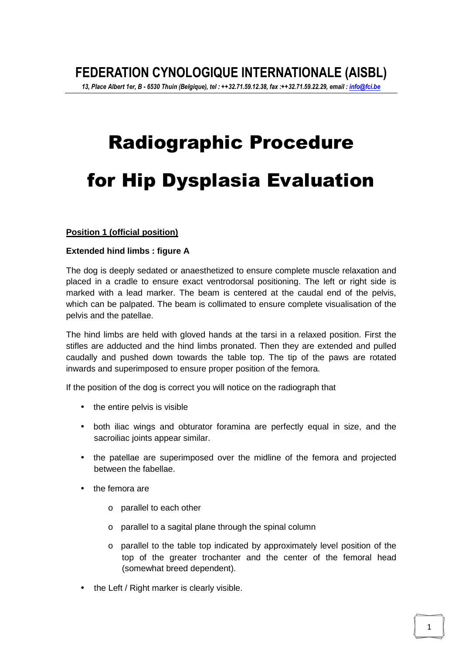# Radiographic Procedure for Hip Dysplasia Evaluation

#### **Position 1 (official position)**

#### **Extended hind limbs : figure A**

The dog is deeply sedated or anaesthetized to ensure complete muscle relaxation and placed in a cradle to ensure exact ventrodorsal positioning. The left or right side is marked with a lead marker. The beam is centered at the caudal end of the pelvis, which can be palpated. The beam is collimated to ensure complete visualisation of the pelvis and the patellae.

The hind limbs are held with gloved hands at the tarsi in a relaxed position. First the stifles are adducted and the hind limbs pronated. Then they are extended and pulled caudally and pushed down towards the table top. The tip of the paws are rotated inwards and superimposed to ensure proper position of the femora.

If the position of the dog is correct you will notice on the radiograph that

- the entire pelvis is visible
- both iliac wings and obturator foramina are perfectly equal in size, and the sacroiliac joints appear similar.
- the patellae are superimposed over the midline of the femora and projected between the fabellae.
- the femora are
	- o parallel to each other
	- o parallel to a sagital plane through the spinal column
	- o parallel to the table top indicated by approximately level position of the top of the greater trochanter and the center of the femoral head (somewhat breed dependent).
- the Left / Right marker is clearly visible.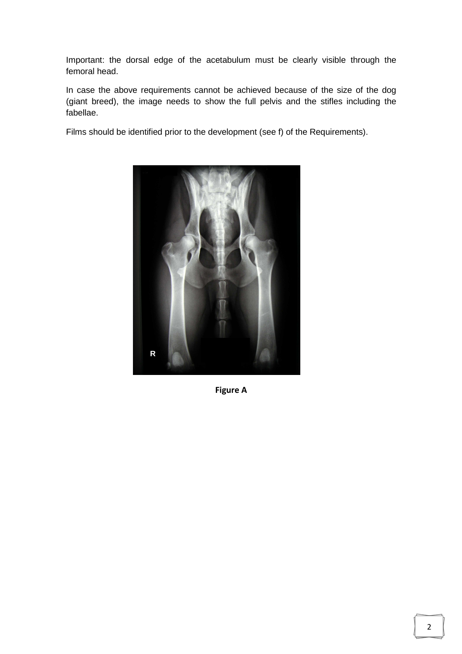Important: the dorsal edge of the acetabulum must be clearly visible through the femoral head.

In case the above requirements cannot be achieved because of the size of the dog (giant breed), the image needs to show the full pelvis and the stifles including the fabellae.

Films should be identified prior to the development (see f) of the Requirements).



**Figure A**